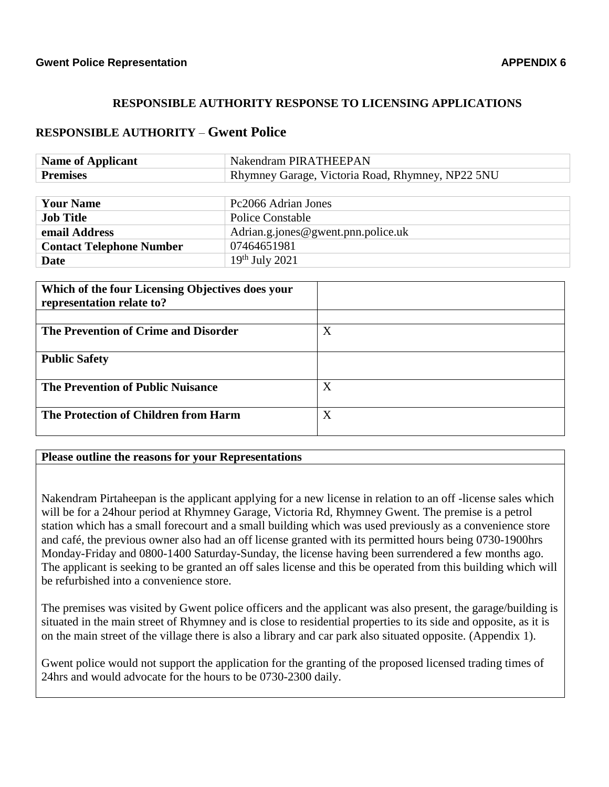## **RESPONSIBLE AUTHORITY RESPONSE TO LICENSING APPLICATIONS**

## **RESPONSIBLE AUTHORITY** – **Gwent Police**

| <b>Name of Applicant</b> | Nakendram PIRATHEEPAN                            |
|--------------------------|--------------------------------------------------|
| <b>Premises</b>          | Rhymney Garage, Victoria Road, Rhymney, NP22 5NU |

| <b>Your Name</b>                | Pc2066 Adrian Jones                |
|---------------------------------|------------------------------------|
| <b>Job Title</b>                | Police Constable                   |
| email Address                   | Adrian.g.jones@gwent.pnn.police.uk |
| <b>Contact Telephone Number</b> | 07464651981                        |
| Date                            | $19th$ July 2021                   |

| Which of the four Licensing Objectives does your |   |
|--------------------------------------------------|---|
| representation relate to?                        |   |
|                                                  |   |
| The Prevention of Crime and Disorder             | X |
| <b>Public Safety</b>                             |   |
| <b>The Prevention of Public Nuisance</b>         | X |
| The Protection of Children from Harm             | X |

## **Please outline the reasons for your Representations**

Nakendram Pirtaheepan is the applicant applying for a new license in relation to an off -license sales which will be for a 24hour period at Rhymney Garage, Victoria Rd, Rhymney Gwent. The premise is a petrol station which has a small forecourt and a small building which was used previously as a convenience store and café, the previous owner also had an off license granted with its permitted hours being 0730-1900hrs Monday-Friday and 0800-1400 Saturday-Sunday, the license having been surrendered a few months ago. The applicant is seeking to be granted an off sales license and this be operated from this building which will be refurbished into a convenience store.

The premises was visited by Gwent police officers and the applicant was also present, the garage/building is situated in the main street of Rhymney and is close to residential properties to its side and opposite, as it is on the main street of the village there is also a library and car park also situated opposite. (Appendix 1).

Gwent police would not support the application for the granting of the proposed licensed trading times of 24hrs and would advocate for the hours to be 0730-2300 daily.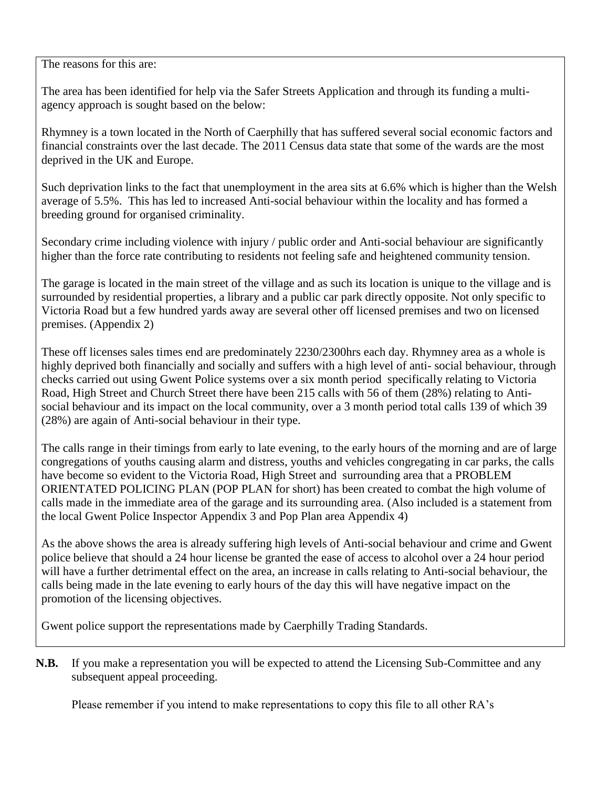The reasons for this are:

The area has been identified for help via the Safer Streets Application and through its funding a multiagency approach is sought based on the below:

Rhymney is a town located in the North of Caerphilly that has suffered several social economic factors and financial constraints over the last decade. The 2011 Census data state that some of the wards are the most deprived in the UK and Europe.

Such deprivation links to the fact that unemployment in the area sits at 6.6% which is higher than the Welsh average of 5.5%. This has led to increased Anti-social behaviour within the locality and has formed a breeding ground for organised criminality.

Secondary crime including violence with injury / public order and Anti-social behaviour are significantly higher than the force rate contributing to residents not feeling safe and heightened community tension.

The garage is located in the main street of the village and as such its location is unique to the village and is surrounded by residential properties, a library and a public car park directly opposite. Not only specific to Victoria Road but a few hundred yards away are several other off licensed premises and two on licensed premises. (Appendix 2)

These off licenses sales times end are predominately 2230/2300hrs each day. Rhymney area as a whole is highly deprived both financially and socially and suffers with a high level of anti- social behaviour, through checks carried out using Gwent Police systems over a six month period specifically relating to Victoria Road, High Street and Church Street there have been 215 calls with 56 of them (28%) relating to Antisocial behaviour and its impact on the local community, over a 3 month period total calls 139 of which 39 (28%) are again of Anti-social behaviour in their type.

The calls range in their timings from early to late evening, to the early hours of the morning and are of large congregations of youths causing alarm and distress, youths and vehicles congregating in car parks, the calls have become so evident to the Victoria Road, High Street and surrounding area that a PROBLEM ORIENTATED POLICING PLAN (POP PLAN for short) has been created to combat the high volume of calls made in the immediate area of the garage and its surrounding area. (Also included is a statement from the local Gwent Police Inspector Appendix 3 and Pop Plan area Appendix 4)

As the above shows the area is already suffering high levels of Anti-social behaviour and crime and Gwent police believe that should a 24 hour license be granted the ease of access to alcohol over a 24 hour period will have a further detrimental effect on the area, an increase in calls relating to Anti-social behaviour, the calls being made in the late evening to early hours of the day this will have negative impact on the promotion of the licensing objectives.

Gwent police support the representations made by Caerphilly Trading Standards.

**N.B.** If you make a representation you will be expected to attend the Licensing Sub-Committee and any subsequent appeal proceeding.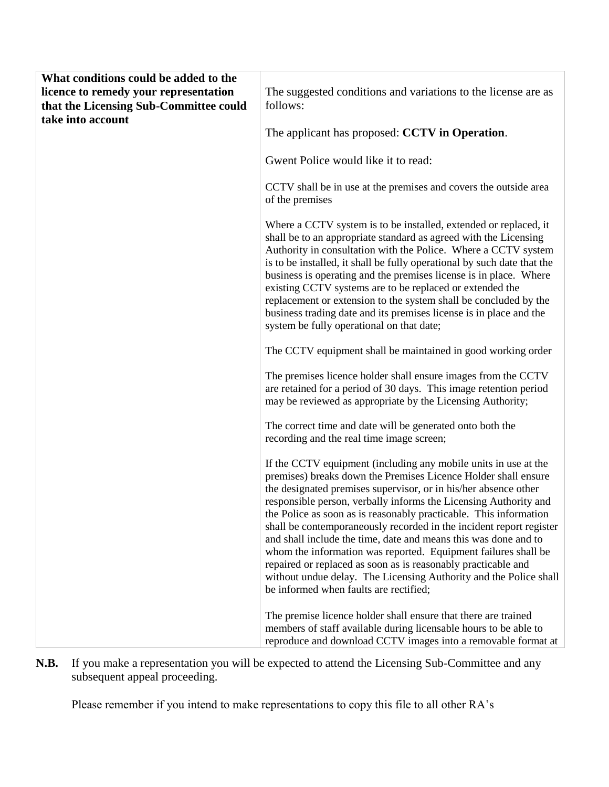| What conditions could be added to the  |                                                                                                                                                                                                                                                                                                                                                                                                                                                                                                                                                                                                                                                                                                                                           |
|----------------------------------------|-------------------------------------------------------------------------------------------------------------------------------------------------------------------------------------------------------------------------------------------------------------------------------------------------------------------------------------------------------------------------------------------------------------------------------------------------------------------------------------------------------------------------------------------------------------------------------------------------------------------------------------------------------------------------------------------------------------------------------------------|
| licence to remedy your representation  | The suggested conditions and variations to the license are as                                                                                                                                                                                                                                                                                                                                                                                                                                                                                                                                                                                                                                                                             |
| that the Licensing Sub-Committee could | follows:                                                                                                                                                                                                                                                                                                                                                                                                                                                                                                                                                                                                                                                                                                                                  |
| take into account                      |                                                                                                                                                                                                                                                                                                                                                                                                                                                                                                                                                                                                                                                                                                                                           |
|                                        | The applicant has proposed: CCTV in Operation.                                                                                                                                                                                                                                                                                                                                                                                                                                                                                                                                                                                                                                                                                            |
|                                        | Gwent Police would like it to read:                                                                                                                                                                                                                                                                                                                                                                                                                                                                                                                                                                                                                                                                                                       |
|                                        | CCTV shall be in use at the premises and covers the outside area<br>of the premises                                                                                                                                                                                                                                                                                                                                                                                                                                                                                                                                                                                                                                                       |
|                                        | Where a CCTV system is to be installed, extended or replaced, it<br>shall be to an appropriate standard as agreed with the Licensing<br>Authority in consultation with the Police. Where a CCTV system<br>is to be installed, it shall be fully operational by such date that the<br>business is operating and the premises license is in place. Where<br>existing CCTV systems are to be replaced or extended the<br>replacement or extension to the system shall be concluded by the<br>business trading date and its premises license is in place and the<br>system be fully operational on that date;                                                                                                                                 |
|                                        | The CCTV equipment shall be maintained in good working order                                                                                                                                                                                                                                                                                                                                                                                                                                                                                                                                                                                                                                                                              |
|                                        | The premises licence holder shall ensure images from the CCTV<br>are retained for a period of 30 days. This image retention period<br>may be reviewed as appropriate by the Licensing Authority;                                                                                                                                                                                                                                                                                                                                                                                                                                                                                                                                          |
|                                        | The correct time and date will be generated onto both the<br>recording and the real time image screen;                                                                                                                                                                                                                                                                                                                                                                                                                                                                                                                                                                                                                                    |
|                                        | If the CCTV equipment (including any mobile units in use at the<br>premises) breaks down the Premises Licence Holder shall ensure<br>the designated premises supervisor, or in his/her absence other<br>responsible person, verbally informs the Licensing Authority and<br>the Police as soon as is reasonably practicable. This information<br>shall be contemporaneously recorded in the incident report register<br>and shall include the time, date and means this was done and to<br>whom the information was reported. Equipment failures shall be<br>repaired or replaced as soon as is reasonably practicable and<br>without undue delay. The Licensing Authority and the Police shall<br>be informed when faults are rectified; |
|                                        | The premise licence holder shall ensure that there are trained<br>members of staff available during licensable hours to be able to<br>reproduce and download CCTV images into a removable format at                                                                                                                                                                                                                                                                                                                                                                                                                                                                                                                                       |

**N.B.** If you make a representation you will be expected to attend the Licensing Sub-Committee and any subsequent appeal proceeding.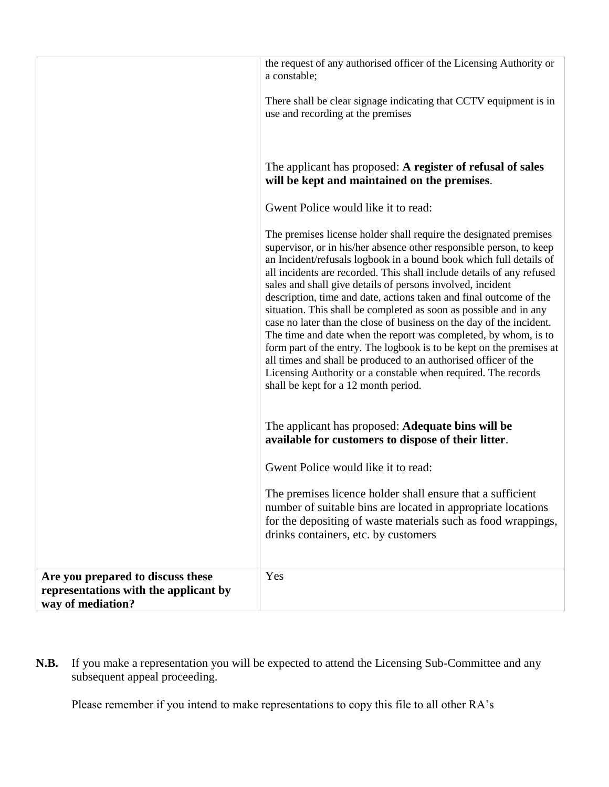|                                                                                                 | the request of any authorised officer of the Licensing Authority or<br>a constable;                                                                                                                                                                                                                                                                                                                                                                                                                                                                                                                                                                                                                                                                                                                                                                                                             |
|-------------------------------------------------------------------------------------------------|-------------------------------------------------------------------------------------------------------------------------------------------------------------------------------------------------------------------------------------------------------------------------------------------------------------------------------------------------------------------------------------------------------------------------------------------------------------------------------------------------------------------------------------------------------------------------------------------------------------------------------------------------------------------------------------------------------------------------------------------------------------------------------------------------------------------------------------------------------------------------------------------------|
|                                                                                                 | There shall be clear signage indicating that CCTV equipment is in<br>use and recording at the premises                                                                                                                                                                                                                                                                                                                                                                                                                                                                                                                                                                                                                                                                                                                                                                                          |
|                                                                                                 | The applicant has proposed: A register of refusal of sales<br>will be kept and maintained on the premises.                                                                                                                                                                                                                                                                                                                                                                                                                                                                                                                                                                                                                                                                                                                                                                                      |
|                                                                                                 | Gwent Police would like it to read:                                                                                                                                                                                                                                                                                                                                                                                                                                                                                                                                                                                                                                                                                                                                                                                                                                                             |
|                                                                                                 | The premises license holder shall require the designated premises<br>supervisor, or in his/her absence other responsible person, to keep<br>an Incident/refusals logbook in a bound book which full details of<br>all incidents are recorded. This shall include details of any refused<br>sales and shall give details of persons involved, incident<br>description, time and date, actions taken and final outcome of the<br>situation. This shall be completed as soon as possible and in any<br>case no later than the close of business on the day of the incident.<br>The time and date when the report was completed, by whom, is to<br>form part of the entry. The logbook is to be kept on the premises at<br>all times and shall be produced to an authorised officer of the<br>Licensing Authority or a constable when required. The records<br>shall be kept for a 12 month period. |
|                                                                                                 | The applicant has proposed: Adequate bins will be<br>available for customers to dispose of their litter.                                                                                                                                                                                                                                                                                                                                                                                                                                                                                                                                                                                                                                                                                                                                                                                        |
|                                                                                                 | Gwent Police would like it to read:                                                                                                                                                                                                                                                                                                                                                                                                                                                                                                                                                                                                                                                                                                                                                                                                                                                             |
|                                                                                                 | The premises licence holder shall ensure that a sufficient<br>number of suitable bins are located in appropriate locations<br>for the depositing of waste materials such as food wrappings,<br>drinks containers, etc. by customers                                                                                                                                                                                                                                                                                                                                                                                                                                                                                                                                                                                                                                                             |
| Are you prepared to discuss these<br>representations with the applicant by<br>way of mediation? | Yes                                                                                                                                                                                                                                                                                                                                                                                                                                                                                                                                                                                                                                                                                                                                                                                                                                                                                             |

**N.B.** If you make a representation you will be expected to attend the Licensing Sub-Committee and any subsequent appeal proceeding.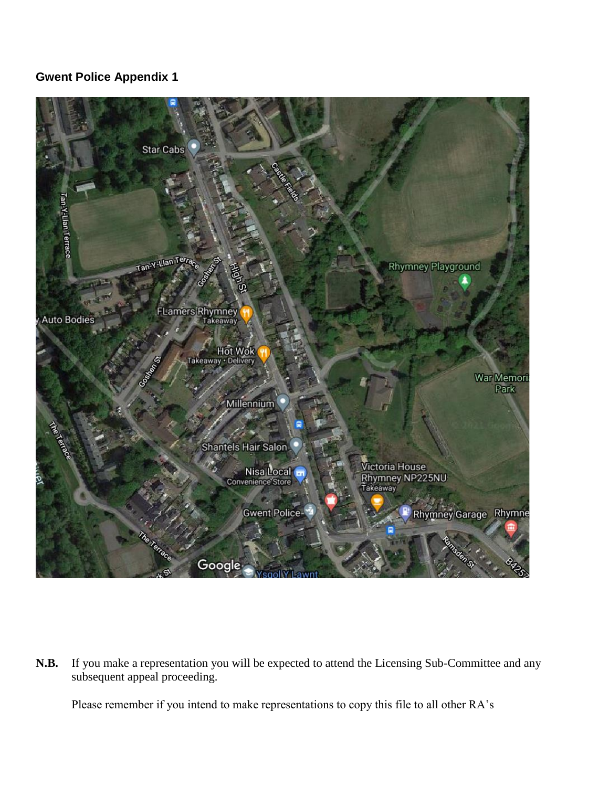## **Gwent Police Appendix 1**



**N.B.** If you make a representation you will be expected to attend the Licensing Sub-Committee and any subsequent appeal proceeding.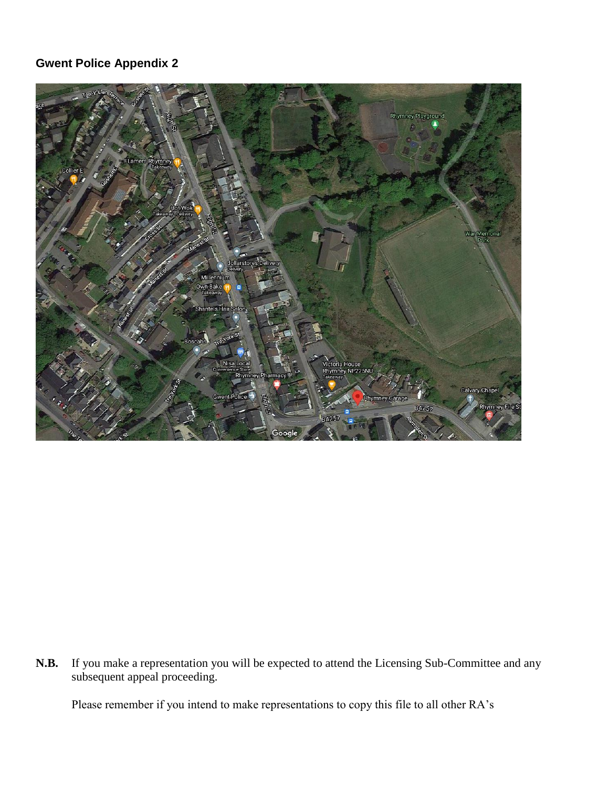# **Gwent Police Appendix 2**



**N.B.** If you make a representation you will be expected to attend the Licensing Sub-Committee and any subsequent appeal proceeding.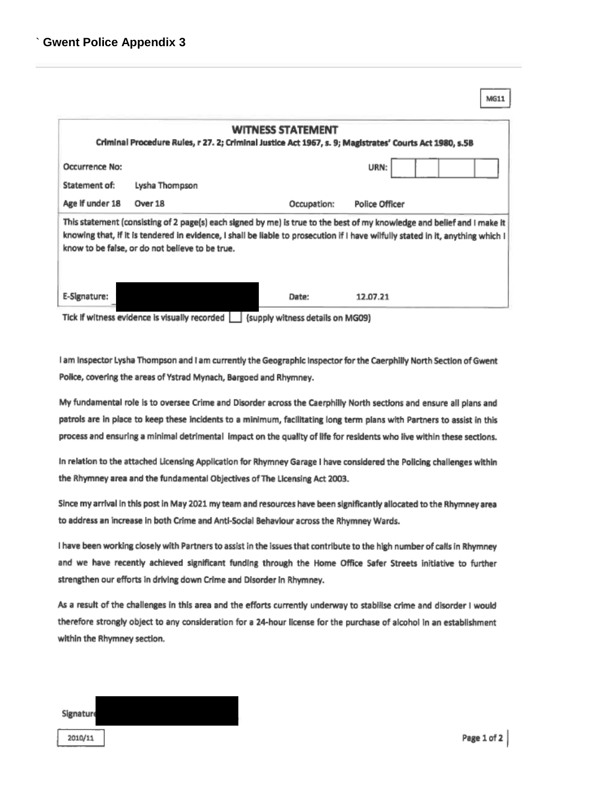|                                                                                                                                                                                                                                                                                                               | MG11 |  |  |  |  |
|---------------------------------------------------------------------------------------------------------------------------------------------------------------------------------------------------------------------------------------------------------------------------------------------------------------|------|--|--|--|--|
| <b>WITNESS STATEMENT</b><br>Criminal Procedure Rules, r 27. 2; Criminal Justice Act 1967, s. 9; Magistrates' Courts Act 1980, s.5B                                                                                                                                                                            |      |  |  |  |  |
| Occurrence No:<br>URN:                                                                                                                                                                                                                                                                                        |      |  |  |  |  |
| Statement of:<br>Lysha Thompson                                                                                                                                                                                                                                                                               |      |  |  |  |  |
| Age if under 18<br>Over 18<br>Occupation:<br><b>Police Officer</b>                                                                                                                                                                                                                                            |      |  |  |  |  |
| This statement (consisting of 2 page(s) each signed by me) is true to the best of my knowledge and belief and I make it<br>knowing that, if it is tendered in evidence, I shall be liable to prosecution if I have wilfully stated in it, anything which I<br>know to be false, or do not believe to be true. |      |  |  |  |  |
| E-Signature:<br>12.07.21<br>Date:                                                                                                                                                                                                                                                                             |      |  |  |  |  |
| Tick if witness evidence is visually recorded<br>(supply witness details on MG09)                                                                                                                                                                                                                             |      |  |  |  |  |

I am Inspector Lysha Thompson and I am currently the Geographic Inspector for the Caerphilly North Section of Gwent Police, covering the areas of Ystrad Mynach, Bargoed and Rhymney.

My fundamental role is to oversee Crime and Disorder across the Caerphilly North sections and ensure all plans and patrols are in place to keep these incidents to a minimum, facilitating long term plans with Partners to assist in this process and ensuring a minimal detrimental impact on the quality of life for residents who live within these sections.

In relation to the attached Licensing Application for Rhymney Garage I have considered the Policing challenges within the Rhymney area and the fundamental Objectives of The Licensing Act 2003.

Since my arrival in this post in May 2021 my team and resources have been significantly allocated to the Rhymney area to address an increase in both Crime and Anti-Social Behaviour across the Rhymney Wards.

I have been working closely with Partners to assist in the issues that contribute to the high number of calls in Rhymney and we have recently achieved significant funding through the Home Office Safer Streets initiative to further strengthen our efforts in driving down Crime and Disorder in Rhymney.

As a result of the challenges in this area and the efforts currently underway to stabilise crime and disorder I would therefore strongly object to any consideration for a 24-hour license for the purchase of alcohol in an establishment within the Rhymney section.

| <b>Signature</b> |  |
|------------------|--|
| 2010/11          |  |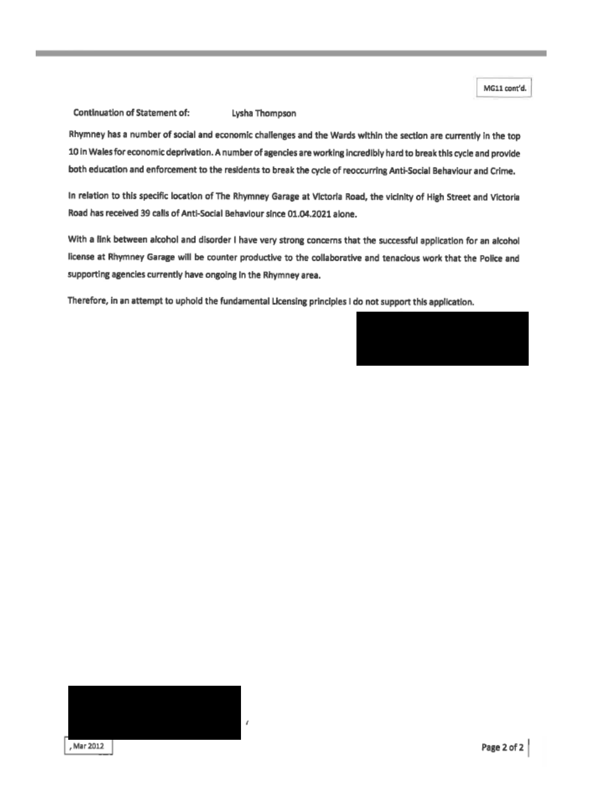MG11 cont'd.

#### Continuation of Statement of:

Lysha Thompson

Rhymney has a number of social and economic challenges and the Wards within the section are currently in the top 10 in Wales for economic deprivation. A number of agencies are working incredibly hard to break this cycle and provide both education and enforcement to the residents to break the cycle of reoccurring Anti-Social Behaviour and Crime.

In relation to this specific location of The Rhymney Garage at Victoria Road, the vicinity of High Street and Victoria Road has received 39 calls of Anti-Social Behaviour since 01.04.2021 alone.

With a link between alcohol and disorder I have very strong concerns that the successful application for an alcohol license at Rhymney Garage will be counter productive to the collaborative and tenacious work that the Police and supporting agencies currently have ongoing in the Rhymney area.

Therefore, in an attempt to uphold the fundamental Licensing principles I do not support this application.